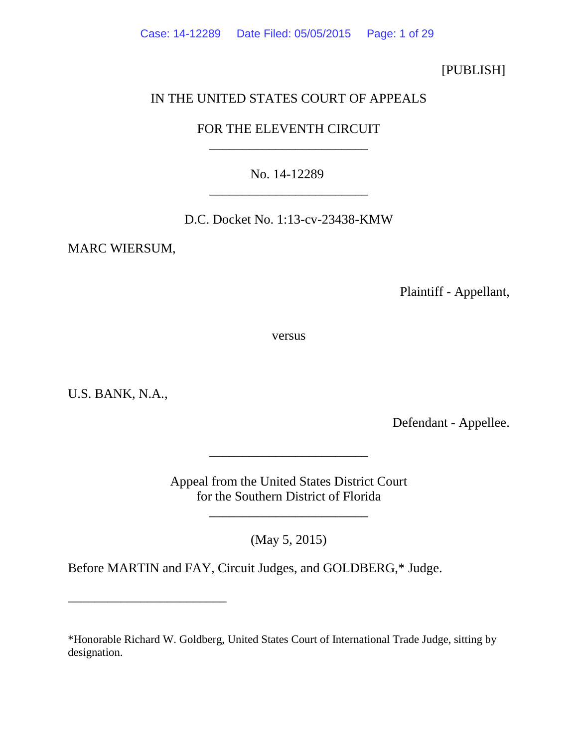Case: 14-12289 Date Filed: 05/05/2015 Page: 1 of 29

[PUBLISH]

## IN THE UNITED STATES COURT OF APPEALS

## FOR THE ELEVENTH CIRCUIT \_\_\_\_\_\_\_\_\_\_\_\_\_\_\_\_\_\_\_\_\_\_\_\_

No. 14-12289 \_\_\_\_\_\_\_\_\_\_\_\_\_\_\_\_\_\_\_\_\_\_\_\_

D.C. Docket No. 1:13-cv-23438-KMW

MARC WIERSUM,

Plaintiff - Appellant,

versus

U.S. BANK, N.A.,

\_\_\_\_\_\_\_\_\_\_\_\_\_\_\_\_\_\_\_\_\_\_\_\_

Defendant - Appellee.

Appeal from the United States District Court for the Southern District of Florida

\_\_\_\_\_\_\_\_\_\_\_\_\_\_\_\_\_\_\_\_\_\_\_\_

(May 5, 2015)

\_\_\_\_\_\_\_\_\_\_\_\_\_\_\_\_\_\_\_\_\_\_\_\_

Before MARTIN and FAY, Circuit Judges, and GOLDBERG,\* Judge.

<sup>\*</sup>Honorable Richard W. Goldberg, United States Court of International Trade Judge, sitting by designation.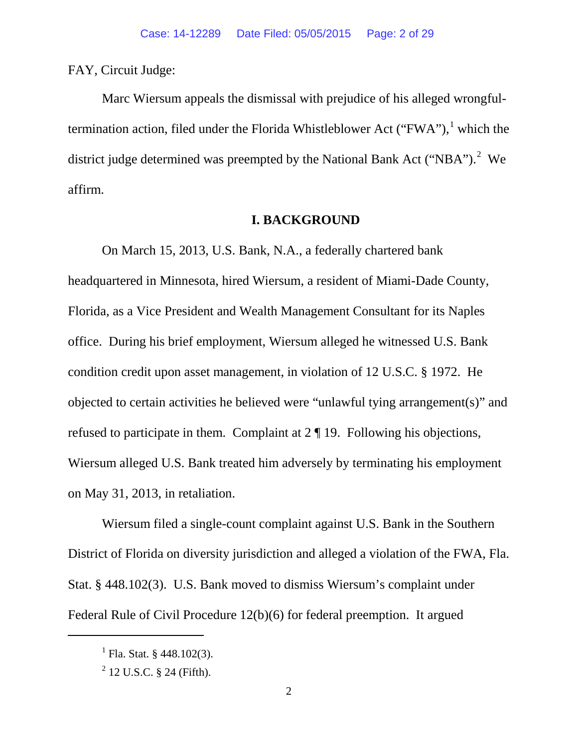FAY, Circuit Judge:

Marc Wiersum appeals the dismissal with prejudice of his alleged wrongfultermination action, filed under the Florida Whistleblower Act ("FWA"), $<sup>1</sup>$  $<sup>1</sup>$  $<sup>1</sup>$  which the</sup> district judge determined was preempted by the National Bank Act ("NBA").<sup>[2](#page-1-1)</sup> We affirm.

### **I. BACKGROUND**

On March 15, 2013, U.S. Bank, N.A., a federally chartered bank headquartered in Minnesota, hired Wiersum, a resident of Miami-Dade County, Florida, as a Vice President and Wealth Management Consultant for its Naples office. During his brief employment, Wiersum alleged he witnessed U.S. Bank condition credit upon asset management, in violation of 12 U.S.C. § 1972. He objected to certain activities he believed were "unlawful tying arrangement(s)" and refused to participate in them. Complaint at 2 ¶ 19. Following his objections, Wiersum alleged U.S. Bank treated him adversely by terminating his employment on May 31, 2013, in retaliation.

Wiersum filed a single-count complaint against U.S. Bank in the Southern District of Florida on diversity jurisdiction and alleged a violation of the FWA, Fla. Stat. § 448.102(3). U.S. Bank moved to dismiss Wiersum's complaint under Federal Rule of Civil Procedure 12(b)(6) for federal preemption. It argued

<span id="page-1-0"></span> $^{1}$  Fla. Stat. § 448.102(3).

<span id="page-1-1"></span> $^{2}$  12 U.S.C. § 24 (Fifth).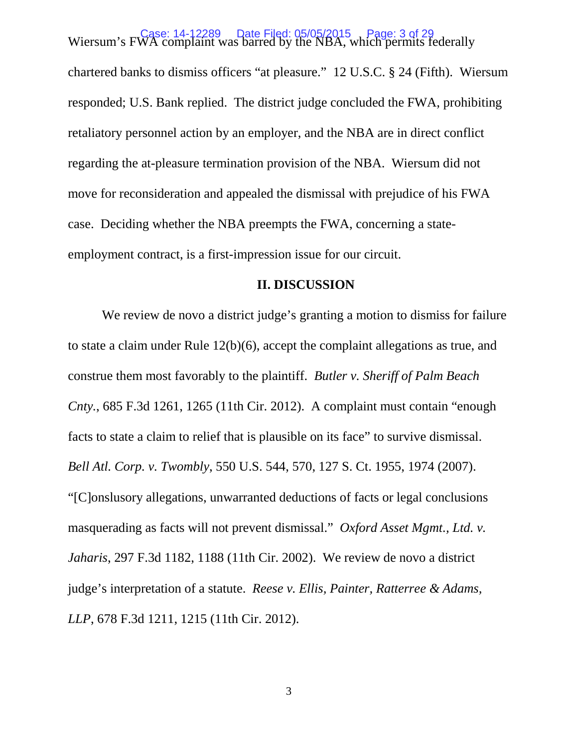Wiersum's FWA complaint was bared by the NBA, which permits federally Wiersum's FWA complaint was barred by the NBA, which permits federally chartered banks to dismiss officers "at pleasure." 12 U.S.C. § 24 (Fifth). Wiersum responded; U.S. Bank replied. The district judge concluded the FWA, prohibiting retaliatory personnel action by an employer, and the NBA are in direct conflict regarding the at-pleasure termination provision of the NBA. Wiersum did not move for reconsideration and appealed the dismissal with prejudice of his FWA case. Deciding whether the NBA preempts the FWA, concerning a stateemployment contract, is a first-impression issue for our circuit.

### **II. DISCUSSION**

We review de novo a district judge's granting a motion to dismiss for failure to state a claim under Rule 12(b)(6), accept the complaint allegations as true, and construe them most favorably to the plaintiff. *Butler v. Sheriff of Palm Beach Cnty.*, 685 F.3d 1261, 1265 (11th Cir. 2012). A complaint must contain "enough facts to state a claim to relief that is plausible on its face" to survive dismissal. *Bell Atl. Corp. v. Twombly*, 550 U.S. 544, 570, 127 S. Ct. 1955, 1974 (2007). "[C]onslusory allegations, unwarranted deductions of facts or legal conclusions masquerading as facts will not prevent dismissal." *Oxford Asset Mgmt., Ltd. v. Jaharis*, 297 F.3d 1182, 1188 (11th Cir. 2002). We review de novo a district judge's interpretation of a statute. *Reese v. Ellis, Painter, Ratterree & Adams, LLP*, 678 F.3d 1211, 1215 (11th Cir. 2012).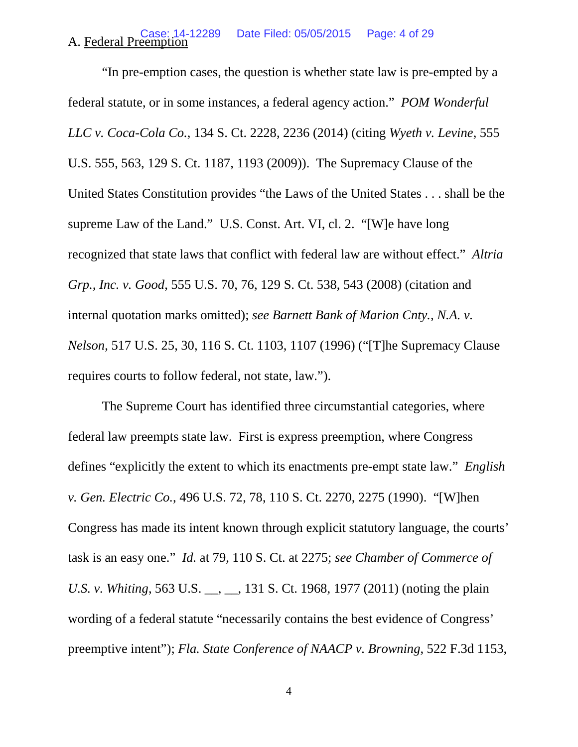#### A. Federal Preemption Date Filed: 05/05/2015 Page: 4 of 29

"In pre-emption cases, the question is whether state law is pre-empted by a federal statute, or in some instances, a federal agency action." *POM Wonderful LLC v. Coca-Cola Co.*, 134 S. Ct. 2228, 2236 (2014) (citing *Wyeth v. Levine*, 555 U.S. 555, 563, 129 S. Ct. 1187, 1193 (2009)). The Supremacy Clause of the United States Constitution provides "the Laws of the United States . . . shall be the supreme Law of the Land." U.S. Const. Art. VI, cl. 2. "[W]e have long recognized that state laws that conflict with federal law are without effect." *Altria Grp., Inc. v. Good*, 555 U.S. 70, 76, 129 S. Ct. 538, 543 (2008) (citation and internal quotation marks omitted); *see Barnett Bank of Marion Cnty., N.A. v. Nelson*, 517 U.S. 25, 30, 116 S. Ct. 1103, 1107 (1996) ("[T]he Supremacy Clause requires courts to follow federal, not state, law.").

The Supreme Court has identified three circumstantial categories, where federal law preempts state law. First is express preemption, where Congress defines "explicitly the extent to which its enactments pre-empt state law." *English v. Gen. Electric Co.*, 496 U.S. 72, 78, 110 S. Ct. 2270, 2275 (1990). "[W]hen Congress has made its intent known through explicit statutory language, the courts' task is an easy one." *Id.* at 79, 110 S. Ct. at 2275; *see Chamber of Commerce of U.S. v. Whiting*, 563 U.S. <sub>\_\_</sub>, \_\_, 131 S. Ct. 1968, 1977 (2011) (noting the plain wording of a federal statute "necessarily contains the best evidence of Congress' preemptive intent"); *Fla. State Conference of NAACP v. Browning*, 522 F.3d 1153,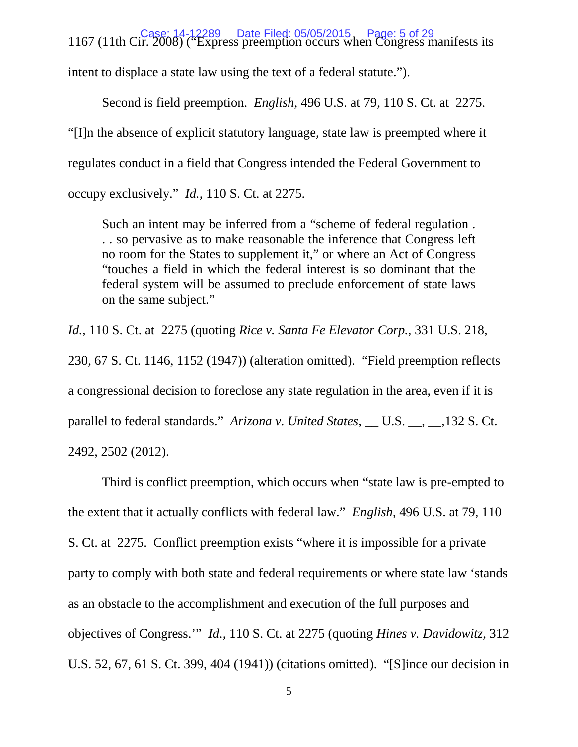1167 (11th Cir. 2008) ("Express preemption occurs when Congress manifests its Case: 14-12289 Date Filed: 05/05/2015 Page: 5 of 29 intent to displace a state law using the text of a federal statute.").

Second is field preemption. *English*, 496 U.S. at 79, 110 S. Ct. at 2275. "[I]n the absence of explicit statutory language, state law is preempted where it regulates conduct in a field that Congress intended the Federal Government to occupy exclusively." *Id.*, 110 S. Ct. at 2275.

Such an intent may be inferred from a "scheme of federal regulation . . . so pervasive as to make reasonable the inference that Congress left no room for the States to supplement it," or where an Act of Congress "touches a field in which the federal interest is so dominant that the federal system will be assumed to preclude enforcement of state laws on the same subject."

*Id.*, 110 S. Ct. at 2275 (quoting *Rice v. Santa Fe Elevator Corp.*, 331 U.S. 218, 230, 67 S. Ct. 1146, 1152 (1947)) (alteration omitted). "Field preemption reflects a congressional decision to foreclose any state regulation in the area, even if it is parallel to federal standards." *Arizona v. United States*, \_\_ U.S. \_\_, \_\_,132 S. Ct. 2492, 2502 (2012).

Third is conflict preemption, which occurs when "state law is pre-empted to the extent that it actually conflicts with federal law." *English*, 496 U.S. at 79, 110 S. Ct. at 2275. Conflict preemption exists "where it is impossible for a private party to comply with both state and federal requirements or where state law 'stands as an obstacle to the accomplishment and execution of the full purposes and objectives of Congress.'" *Id.*, 110 S. Ct. at 2275 (quoting *Hines v. Davidowitz*, 312 U.S. 52, 67, 61 S. Ct. 399, 404 (1941)) (citations omitted). "[S]ince our decision in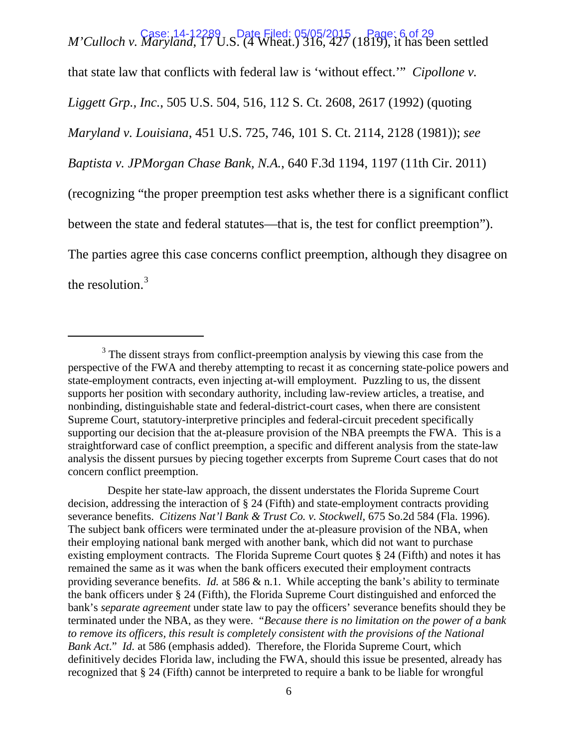*M'Culloch v. Maryland*, 17 U.S. (4 Wheat.) 316, 427 (1819), it has been settled M'Culloch v. *Maryland*, 17 U.S. (4 Wheat.) 316, 427 (1819), it has been settled that state law that conflicts with federal law is 'without effect.'" *Cipollone v. Liggett Grp., Inc.*, 505 U.S. 504, 516, 112 S. Ct. 2608, 2617 (1992) (quoting *Maryland v. Louisiana*, 451 U.S. 725, 746, 101 S. Ct. 2114, 2128 (1981)); *see Baptista v. JPMorgan Chase Bank, N.A.*, 640 F.3d 1194, 1197 (11th Cir. 2011) (recognizing "the proper preemption test asks whether there is a significant conflict between the state and federal statutes—that is, the test for conflict preemption"). The parties agree this case concerns conflict preemption, although they disagree on the resolution. $3$ 

 $\overline{a}$ 

 Despite her state-law approach, the dissent understates the Florida Supreme Court decision, addressing the interaction of § 24 (Fifth) and state-employment contracts providing severance benefits. *Citizens Nat'l Bank & Trust Co. v. Stockwell*, 675 So.2d 584 (Fla. 1996). The subject bank officers were terminated under the at-pleasure provision of the NBA, when their employing national bank merged with another bank, which did not want to purchase existing employment contracts. The Florida Supreme Court quotes § 24 (Fifth) and notes it has remained the same as it was when the bank officers executed their employment contracts providing severance benefits. *Id.* at 586 & n.1. While accepting the bank's ability to terminate the bank officers under § 24 (Fifth), the Florida Supreme Court distinguished and enforced the bank's *separate agreement* under state law to pay the officers' severance benefits should they be terminated under the NBA, as they were. "*Because there is no limitation on the power of a bank to remove its officers, this result is completely consistent with the provisions of the National Bank Act*." *Id.* at 586 (emphasis added). Therefore, the Florida Supreme Court, which definitively decides Florida law, including the FWA, should this issue be presented, already has recognized that § 24 (Fifth) cannot be interpreted to require a bank to be liable for wrongful

<span id="page-5-0"></span> $3$  The dissent strays from conflict-preemption analysis by viewing this case from the perspective of the FWA and thereby attempting to recast it as concerning state-police powers and state-employment contracts, even injecting at-will employment. Puzzling to us, the dissent supports her position with secondary authority, including law-review articles, a treatise, and nonbinding, distinguishable state and federal-district-court cases, when there are consistent Supreme Court, statutory-interpretive principles and federal-circuit precedent specifically supporting our decision that the at-pleasure provision of the NBA preempts the FWA. This is a straightforward case of conflict preemption, a specific and different analysis from the state-law analysis the dissent pursues by piecing together excerpts from Supreme Court cases that do not concern conflict preemption.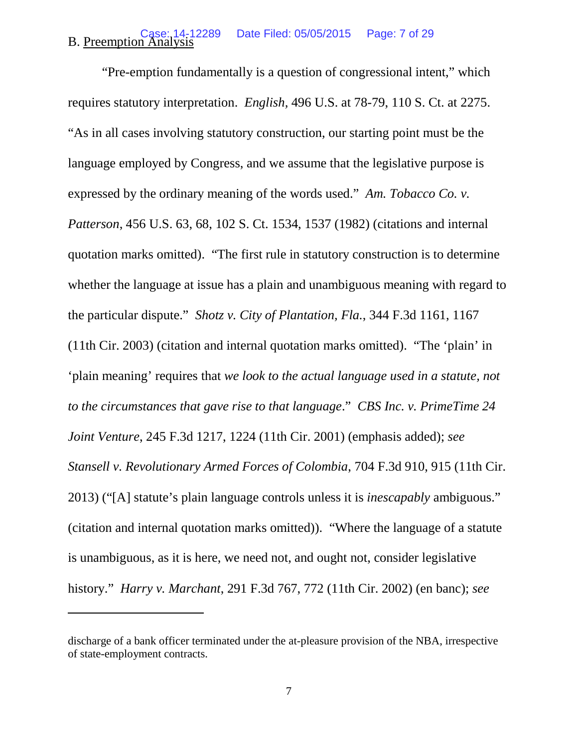#### **B.** Preemption Analysis Date Filed: 05/05/2015 Page: 7 of 29

"Pre-emption fundamentally is a question of congressional intent," which requires statutory interpretation. *English,* 496 U.S. at 78-79, 110 S. Ct. at 2275. "As in all cases involving statutory construction, our starting point must be the language employed by Congress, and we assume that the legislative purpose is expressed by the ordinary meaning of the words used." *Am. Tobacco Co. v. Patterson*, 456 U.S. 63, 68, 102 S. Ct. 1534, 1537 (1982) (citations and internal quotation marks omitted). "The first rule in statutory construction is to determine whether the language at issue has a plain and unambiguous meaning with regard to the particular dispute." *Shotz v. City of Plantation, Fla.*, 344 F.3d 1161, 1167 (11th Cir. 2003) (citation and internal quotation marks omitted). "The 'plain' in 'plain meaning' requires that *we look to the actual language used in a statute, not to the circumstances that gave rise to that language*." *CBS Inc. v. PrimeTime 24 Joint Venture*, 245 F.3d 1217, 1224 (11th Cir. 2001) (emphasis added); *see Stansell v. Revolutionary Armed Forces of Colombia*, 704 F.3d 910, 915 (11th Cir. 2013) ("[A] statute's plain language controls unless it is *inescapably* ambiguous." (citation and internal quotation marks omitted)). "Where the language of a statute is unambiguous, as it is here, we need not, and ought not, consider legislative history." *Harry v. Marchant*, 291 F.3d 767, 772 (11th Cir. 2002) (en banc); *see* 

discharge of a bank officer terminated under the at-pleasure provision of the NBA, irrespective of state-employment contracts.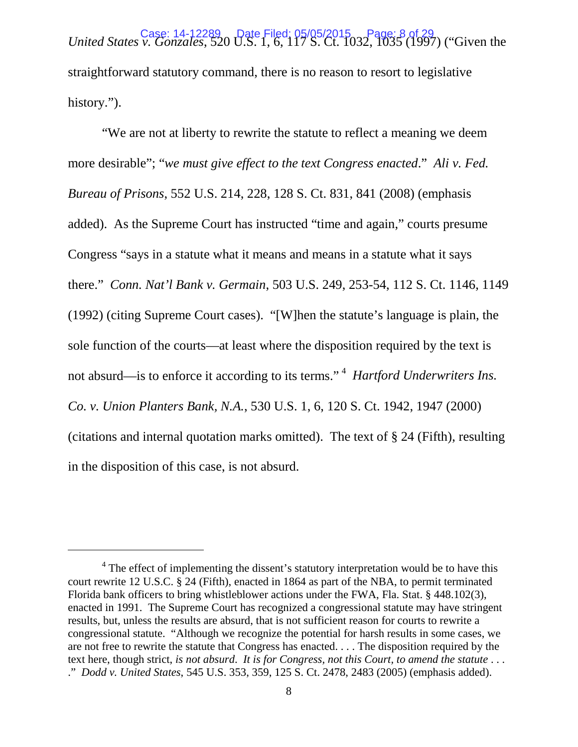*Case: 14-12289* Date Filed: 05/05/2015 Page: 8 of 29<br>United States v. Gonzales, 520 U.S. 1, 6, 117 S. Ct. 1032, 1035 (1997) ("Given the straightforward statutory command, there is no reason to resort to legislative history.").

"We are not at liberty to rewrite the statute to reflect a meaning we deem more desirable"; "*we must give effect to the text Congress enacted*." *Ali v. Fed. Bureau of Prisons*, 552 U.S. 214, 228, 128 S. Ct. 831, 841 (2008) (emphasis added). As the Supreme Court has instructed "time and again," courts presume Congress "says in a statute what it means and means in a statute what it says there." *Conn. Nat'l Bank v. Germain*, 503 U.S. 249, 253-54, 112 S. Ct. 1146, 1149 (1992) (citing Supreme Court cases). "[W]hen the statute's language is plain, the sole function of the courts—at least where the disposition required by the text is not absurd—is to enforce it according to its terms."<sup>[4](#page-7-0)</sup> *Hartford Underwriters Ins. Co. v. Union Planters Bank, N.A.*, 530 U.S. 1, 6, 120 S. Ct. 1942, 1947 (2000) (citations and internal quotation marks omitted). The text of § 24 (Fifth), resulting in the disposition of this case, is not absurd.

<span id="page-7-0"></span><sup>&</sup>lt;sup>4</sup> The effect of implementing the dissent's statutory interpretation would be to have this court rewrite 12 U.S.C. § 24 (Fifth), enacted in 1864 as part of the NBA, to permit terminated Florida bank officers to bring whistleblower actions under the FWA, Fla. Stat. § 448.102(3), enacted in 1991. The Supreme Court has recognized a congressional statute may have stringent results, but, unless the results are absurd, that is not sufficient reason for courts to rewrite a congressional statute. "Although we recognize the potential for harsh results in some cases, we are not free to rewrite the statute that Congress has enacted. . . . The disposition required by the text here, though strict, *is not absurd*. *It is for Congress, not this Court, to amend the statute* . . . ." *Dodd v. United States*, 545 U.S. 353, 359, 125 S. Ct. 2478, 2483 (2005) (emphasis added).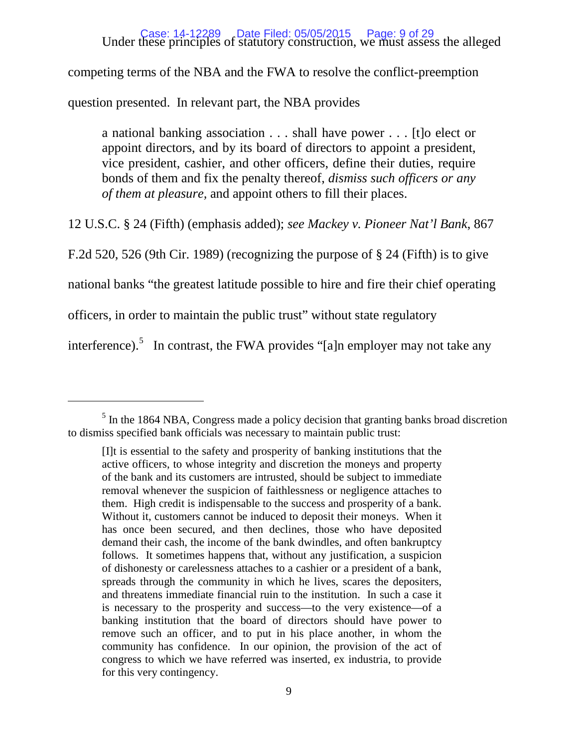# Case: 14-12289 Date Filed: 05/05/2015 Page: 9 of 29<br>Under these principles of statutory construction, we must assess the alleged

competing terms of the NBA and the FWA to resolve the conflict-preemption

question presented. In relevant part, the NBA provides

a national banking association . . . shall have power . . . [t]o elect or appoint directors, and by its board of directors to appoint a president, vice president, cashier, and other officers, define their duties, require bonds of them and fix the penalty thereof, *dismiss such officers or any of them at pleasure,* and appoint others to fill their places.

12 U.S.C. § 24 (Fifth) (emphasis added); *see Mackey v. Pioneer Nat'l Bank*, 867

F.2d 520, 526 (9th Cir. 1989) (recognizing the purpose of § 24 (Fifth) is to give

national banks "the greatest latitude possible to hire and fire their chief operating

officers, in order to maintain the public trust" without state regulatory

 $\overline{a}$ 

interference).<sup>[5](#page-8-0)</sup> In contrast, the FWA provides "[a]n employer may not take any

<span id="page-8-0"></span><sup>&</sup>lt;sup>5</sup> In the 1864 NBA, Congress made a policy decision that granting banks broad discretion to dismiss specified bank officials was necessary to maintain public trust:

<sup>[</sup>I]t is essential to the safety and prosperity of banking institutions that the active officers, to whose integrity and discretion the moneys and property of the bank and its customers are intrusted, should be subject to immediate removal whenever the suspicion of faithlessness or negligence attaches to them. High credit is indispensable to the success and prosperity of a bank. Without it, customers cannot be induced to deposit their moneys. When it has once been secured, and then declines, those who have deposited demand their cash, the income of the bank dwindles, and often bankruptcy follows. It sometimes happens that, without any justification, a suspicion of dishonesty or carelessness attaches to a cashier or a president of a bank, spreads through the community in which he lives, scares the depositers, and threatens immediate financial ruin to the institution. In such a case it is necessary to the prosperity and success—to the very existence—of a banking institution that the board of directors should have power to remove such an officer, and to put in his place another, in whom the community has confidence. In our opinion, the provision of the act of congress to which we have referred was inserted, ex industria, to provide for this very contingency.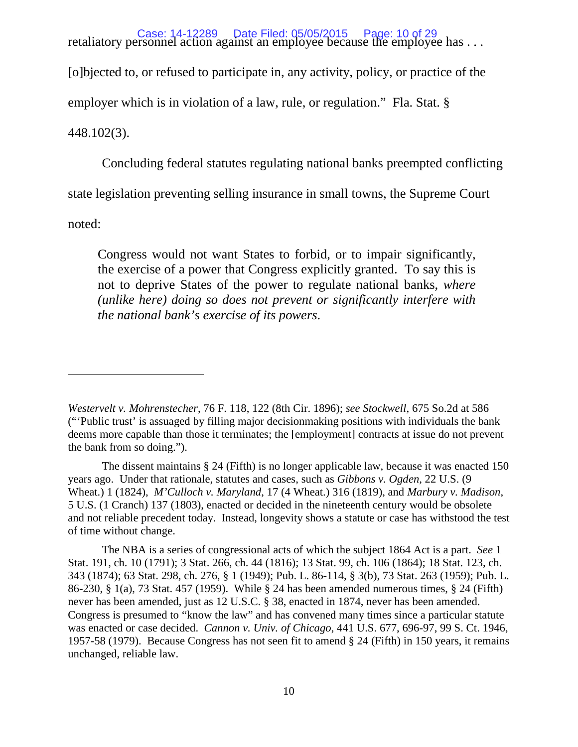retaliatory personnel action against an employee because the employee has . . . Case: 14-12289 Date Filed: 05/05/2015 Page: 10 of 29 [o]bjected to, or refused to participate in, any activity, policy, or practice of the employer which is in violation of a law, rule, or regulation." Fla. Stat. § 448.102(3).

Concluding federal statutes regulating national banks preempted conflicting

state legislation preventing selling insurance in small towns, the Supreme Court

noted:

 $\overline{a}$ 

Congress would not want States to forbid, or to impair significantly, the exercise of a power that Congress explicitly granted. To say this is not to deprive States of the power to regulate national banks, *where (unlike here) doing so does not prevent or significantly interfere with the national bank's exercise of its powers*.

The dissent maintains § 24 (Fifth) is no longer applicable law, because it was enacted 150 years ago. Under that rationale, statutes and cases, such as *Gibbons v. Ogden,* 22 U.S. (9 Wheat.) 1 (1824), *M'Culloch v. Maryland*, 17 (4 Wheat.) 316 (1819), and *Marbury v. Madison*, 5 U.S. (1 Cranch) 137 (1803), enacted or decided in the nineteenth century would be obsolete and not reliable precedent today. Instead, longevity shows a statute or case has withstood the test of time without change.

The NBA is a series of congressional acts of which the subject 1864 Act is a part. *See* 1 Stat. 191, ch. 10 (1791); 3 Stat. 266, ch. 44 (1816); 13 Stat. 99, ch. 106 (1864); 18 Stat. 123, ch. 343 (1874); 63 Stat. 298, ch. 276, § 1 (1949); Pub. L. 86-114, § 3(b), 73 Stat. 263 (1959); Pub. L. 86-230, § 1(a), 73 Stat. 457 (1959). While § 24 has been amended numerous times, § 24 (Fifth) never has been amended, just as 12 U.S.C. § 38, enacted in 1874, never has been amended. Congress is presumed to "know the law" and has convened many times since a particular statute was enacted or case decided. *Cannon v. Univ. of Chicago*, 441 U.S. 677, 696-97, 99 S. Ct. 1946, 1957-58 (1979). Because Congress has not seen fit to amend § 24 (Fifth) in 150 years, it remains unchanged, reliable law.

*Westervelt v. Mohrenstecher*, 76 F. 118, 122 (8th Cir. 1896); *see Stockwell*, 675 So.2d at 586 ("'Public trust' is assuaged by filling major decisionmaking positions with individuals the bank deems more capable than those it terminates; the [employment] contracts at issue do not prevent the bank from so doing.").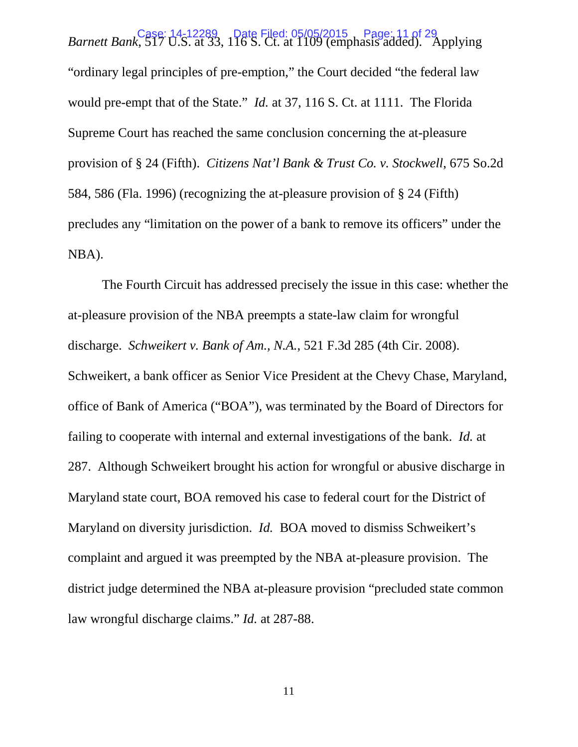*Barnett Bank*, 517 U.S. at 33, 116 S. Ct. at 1109 (emphasis added). Applying *Barnett Bank*, 517 U.S. at 33, 116 S. Ct. at 1109 (emphasis added). Applying "ordinary legal principles of pre-emption," the Court decided "the federal law would pre-empt that of the State." *Id.* at 37, 116 S. Ct. at 1111. The Florida Supreme Court has reached the same conclusion concerning the at-pleasure provision of § 24 (Fifth). *Citizens Nat'l Bank & Trust Co. v. Stockwell*, 675 So.2d 584, 586 (Fla. 1996) (recognizing the at-pleasure provision of § 24 (Fifth) precludes any "limitation on the power of a bank to remove its officers" under the NBA).

The Fourth Circuit has addressed precisely the issue in this case: whether the at-pleasure provision of the NBA preempts a state-law claim for wrongful discharge. *Schweikert v. Bank of Am., N.A.*, 521 F.3d 285 (4th Cir. 2008). Schweikert, a bank officer as Senior Vice President at the Chevy Chase, Maryland, office of Bank of America ("BOA"), was terminated by the Board of Directors for failing to cooperate with internal and external investigations of the bank. *Id.* at 287. Although Schweikert brought his action for wrongful or abusive discharge in Maryland state court, BOA removed his case to federal court for the District of Maryland on diversity jurisdiction. *Id.* BOA moved to dismiss Schweikert's complaint and argued it was preempted by the NBA at-pleasure provision. The district judge determined the NBA at-pleasure provision "precluded state common law wrongful discharge claims." *Id.* at 287-88.

11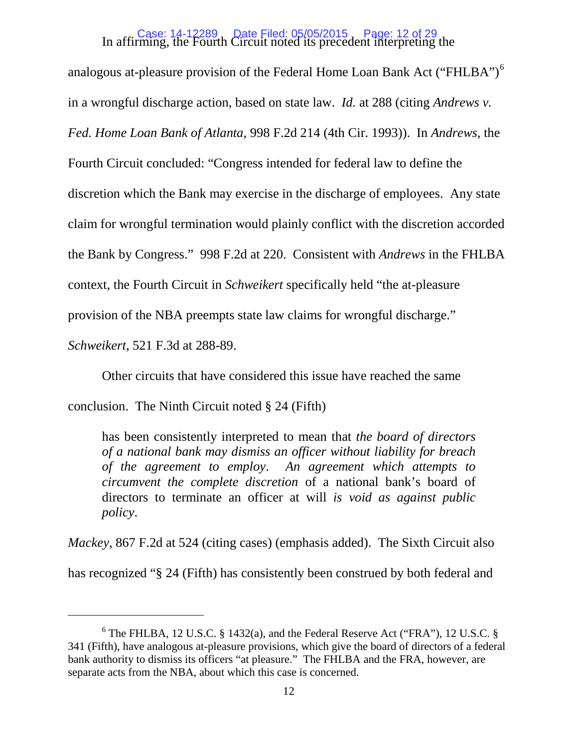# In affirming, the Fourth Circuit noted its precedent interpreting the Case: 14-12289 Date Filed: 05/05/2015 Page: 12 of 29

analogous at-pleasure provision of the Federal Home Loan Bank Act ("FHLBA")<sup>[6](#page-11-0)</sup> in a wrongful discharge action, based on state law. *Id.* at 288 (citing *Andrews v. Fed. Home Loan Bank of Atlanta*, 998 F.2d 214 (4th Cir. 1993)). In *Andrews*, the Fourth Circuit concluded: "Congress intended for federal law to define the discretion which the Bank may exercise in the discharge of employees. Any state claim for wrongful termination would plainly conflict with the discretion accorded the Bank by Congress." 998 F.2d at 220. Consistent with *Andrews* in the FHLBA context, the Fourth Circuit in *Schweikert* specifically held "the at-pleasure provision of the NBA preempts state law claims for wrongful discharge."

*Schweikert*, 521 F.3d at 288-89.

 $\overline{a}$ 

Other circuits that have considered this issue have reached the same

conclusion. The Ninth Circuit noted § 24 (Fifth)

has been consistently interpreted to mean that *the board of directors of a national bank may dismiss an officer without liability for breach of the agreement to employ*. *An agreement which attempts to circumvent the complete discretion* of a national bank's board of directors to terminate an officer at will *is void as against public policy*.

*Mackey*, 867 F.2d at 524 (citing cases) (emphasis added). The Sixth Circuit also

has recognized "§ 24 (Fifth) has consistently been construed by both federal and

<span id="page-11-0"></span> $6$  The FHLBA, 12 U.S.C. § 1432(a), and the Federal Reserve Act ("FRA"), 12 U.S.C. § 341 (Fifth), have analogous at-pleasure provisions, which give the board of directors of a federal bank authority to dismiss its officers "at pleasure." The FHLBA and the FRA, however, are separate acts from the NBA, about which this case is concerned.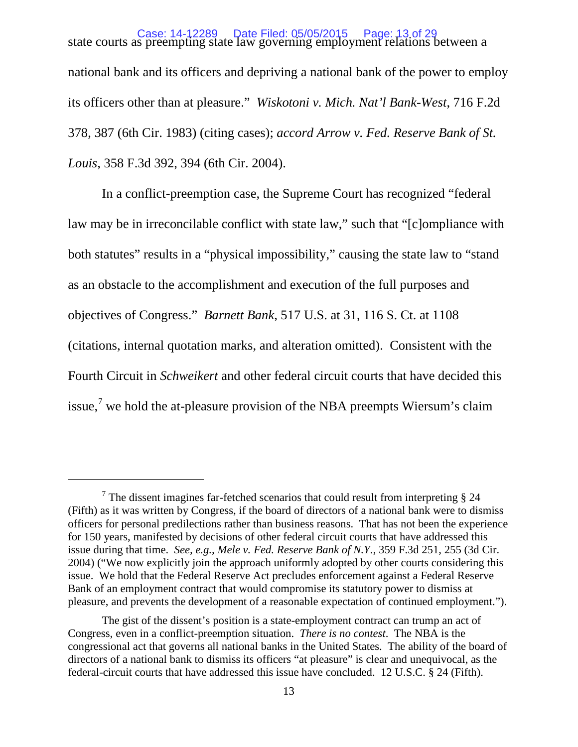state courts as preempting state law governing employment relations between a Case: 14-12289 Date Filed: 05/05/2015 Page: 13 of 29 national bank and its officers and depriving a national bank of the power to employ its officers other than at pleasure." *Wiskotoni v. Mich. Nat'l Bank-West*, 716 F.2d 378, 387 (6th Cir. 1983) (citing cases); *accord Arrow v. Fed. Reserve Bank of St. Louis*, 358 F.3d 392, 394 (6th Cir. 2004).

In a conflict-preemption case, the Supreme Court has recognized "federal law may be in irreconcilable conflict with state law," such that "[c]ompliance with both statutes" results in a "physical impossibility," causing the state law to "stand as an obstacle to the accomplishment and execution of the full purposes and objectives of Congress." *Barnett Bank*, 517 U.S. at 31, 116 S. Ct. at 1108 (citations, internal quotation marks, and alteration omitted). Consistent with the Fourth Circuit in *Schweikert* and other federal circuit courts that have decided this issue,<sup>[7](#page-12-0)</sup> we hold the at-pleasure provision of the NBA preempts Wiersum's claim

<span id="page-12-0"></span> $\frac{7}{1}$  The dissent imagines far-fetched scenarios that could result from interpreting § 24 (Fifth) as it was written by Congress, if the board of directors of a national bank were to dismiss officers for personal predilections rather than business reasons. That has not been the experience for 150 years, manifested by decisions of other federal circuit courts that have addressed this issue during that time. *See, e.g., Mele v. Fed. Reserve Bank of N.Y.*, 359 F.3d 251, 255 (3d Cir. 2004) ("We now explicitly join the approach uniformly adopted by other courts considering this issue. We hold that the Federal Reserve Act precludes enforcement against a Federal Reserve Bank of an employment contract that would compromise its statutory power to dismiss at pleasure, and prevents the development of a reasonable expectation of continued employment.").

The gist of the dissent's position is a state-employment contract can trump an act of Congress, even in a conflict-preemption situation. *There is no contest*. The NBA is the congressional act that governs all national banks in the United States. The ability of the board of directors of a national bank to dismiss its officers "at pleasure" is clear and unequivocal, as the federal-circuit courts that have addressed this issue have concluded. 12 U.S.C. § 24 (Fifth).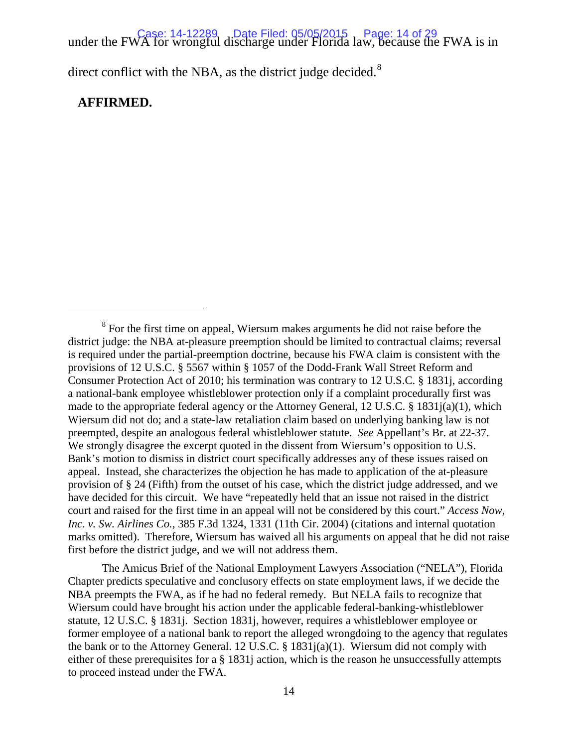under the FWA for wrongful discharge under Florida law, because the FWA is in under the FWA is in

direct conflict with the NBA, as the district judge decided. $8$ 

### **AFFIRMED.**

 $\overline{a}$ 

The Amicus Brief of the National Employment Lawyers Association ("NELA"), Florida Chapter predicts speculative and conclusory effects on state employment laws, if we decide the NBA preempts the FWA, as if he had no federal remedy. But NELA fails to recognize that Wiersum could have brought his action under the applicable federal-banking-whistleblower statute, 12 U.S.C. § 1831j. Section 1831j, however, requires a whistleblower employee or former employee of a national bank to report the alleged wrongdoing to the agency that regulates the bank or to the Attorney General. 12 U.S.C. § 1831j(a)(1). Wiersum did not comply with either of these prerequisites for a § 1831j action, which is the reason he unsuccessfully attempts to proceed instead under the FWA.

<span id="page-13-0"></span><sup>&</sup>lt;sup>8</sup> For the first time on appeal, Wiersum makes arguments he did not raise before the district judge: the NBA at-pleasure preemption should be limited to contractual claims; reversal is required under the partial-preemption doctrine, because his FWA claim is consistent with the provisions of 12 U.S.C. § 5567 within § 1057 of the Dodd-Frank Wall Street Reform and Consumer Protection Act of 2010; his termination was contrary to 12 U.S.C. § 1831j, according a national-bank employee whistleblower protection only if a complaint procedurally first was made to the appropriate federal agency or the Attorney General, 12 U.S.C.  $\S$  1831 $i$ (a)(1), which Wiersum did not do; and a state-law retaliation claim based on underlying banking law is not preempted, despite an analogous federal whistleblower statute. *See* Appellant's Br. at 22-37. We strongly disagree the excerpt quoted in the dissent from Wiersum's opposition to U.S. Bank's motion to dismiss in district court specifically addresses any of these issues raised on appeal. Instead, she characterizes the objection he has made to application of the at-pleasure provision of § 24 (Fifth) from the outset of his case, which the district judge addressed, and we have decided for this circuit. We have "repeatedly held that an issue not raised in the district court and raised for the first time in an appeal will not be considered by this court." *Access Now, Inc. v. Sw. Airlines Co.*, 385 F.3d 1324, 1331 (11th Cir. 2004) (citations and internal quotation marks omitted). Therefore, Wiersum has waived all his arguments on appeal that he did not raise first before the district judge, and we will not address them.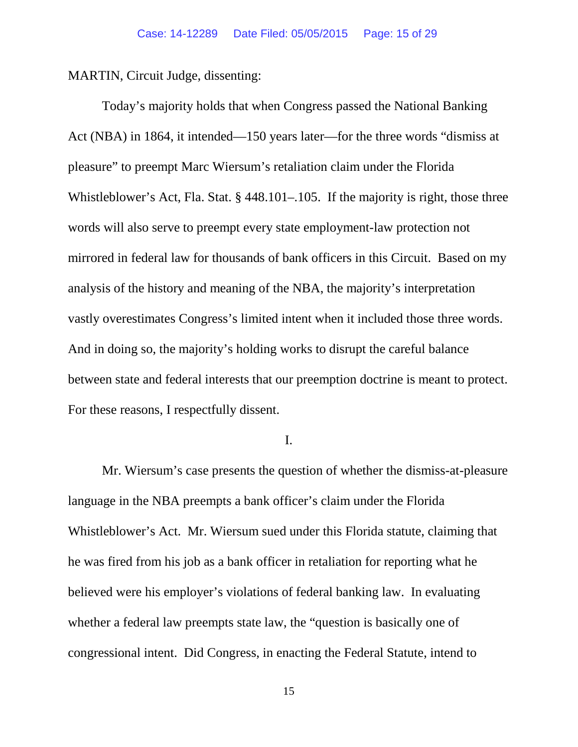MARTIN, Circuit Judge, dissenting:

Today's majority holds that when Congress passed the National Banking Act (NBA) in 1864, it intended—150 years later—for the three words "dismiss at pleasure" to preempt Marc Wiersum's retaliation claim under the Florida Whistleblower's Act, Fla. Stat. § 448.101–.105. If the majority is right, those three words will also serve to preempt every state employment-law protection not mirrored in federal law for thousands of bank officers in this Circuit. Based on my analysis of the history and meaning of the NBA, the majority's interpretation vastly overestimates Congress's limited intent when it included those three words. And in doing so, the majority's holding works to disrupt the careful balance between state and federal interests that our preemption doctrine is meant to protect. For these reasons, I respectfully dissent.

I.

Mr. Wiersum's case presents the question of whether the dismiss-at-pleasure language in the NBA preempts a bank officer's claim under the Florida Whistleblower's Act. Mr. Wiersum sued under this Florida statute, claiming that he was fired from his job as a bank officer in retaliation for reporting what he believed were his employer's violations of federal banking law. In evaluating whether a federal law preempts state law, the "question is basically one of congressional intent. Did Congress, in enacting the Federal Statute, intend to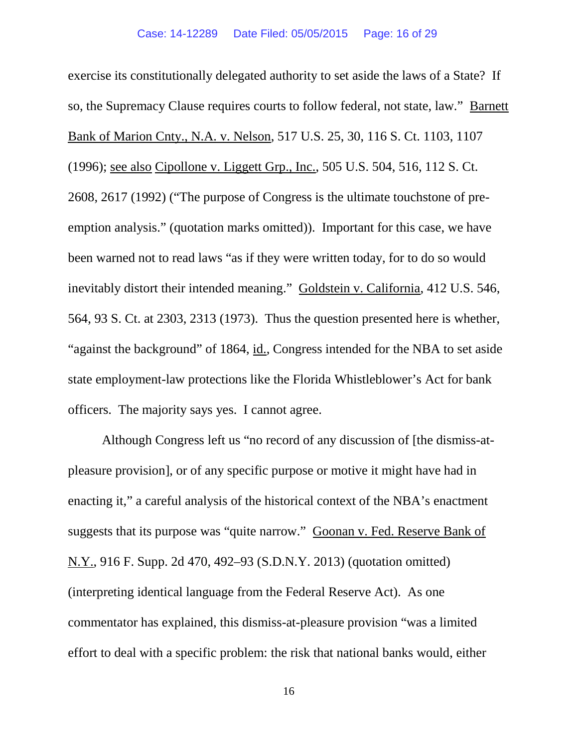exercise its constitutionally delegated authority to set aside the laws of a State? If so, the Supremacy Clause requires courts to follow federal, not state, law." Barnett Bank of Marion Cnty., N.A. v. Nelson, 517 U.S. 25, 30, 116 S. Ct. 1103, 1107 (1996); see also Cipollone v. Liggett Grp., Inc., 505 U.S. 504, 516, 112 S. Ct. 2608, 2617 (1992) ("The purpose of Congress is the ultimate touchstone of preemption analysis." (quotation marks omitted)). Important for this case, we have been warned not to read laws "as if they were written today, for to do so would inevitably distort their intended meaning." Goldstein v. California, 412 U.S. 546, 564, 93 S. Ct. at 2303, 2313 (1973). Thus the question presented here is whether, "against the background" of 1864, id., Congress intended for the NBA to set aside state employment-law protections like the Florida Whistleblower's Act for bank officers. The majority says yes. I cannot agree.

Although Congress left us "no record of any discussion of [the dismiss-atpleasure provision], or of any specific purpose or motive it might have had in enacting it," a careful analysis of the historical context of the NBA's enactment suggests that its purpose was "quite narrow." Goonan v. Fed. Reserve Bank of N.Y., 916 F. Supp. 2d 470, 492–93 (S.D.N.Y. 2013) (quotation omitted) (interpreting identical language from the Federal Reserve Act). As one commentator has explained, this dismiss-at-pleasure provision "was a limited effort to deal with a specific problem: the risk that national banks would, either

16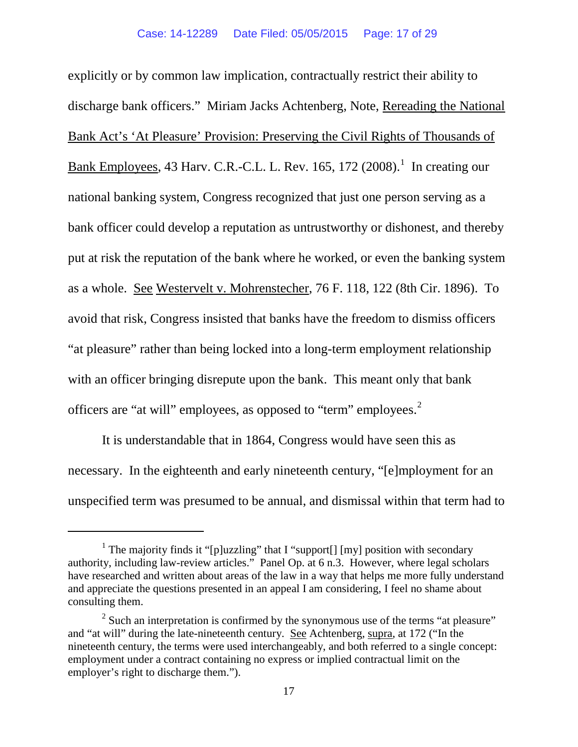explicitly or by common law implication, contractually restrict their ability to discharge bank officers." Miriam Jacks Achtenberg, Note, Rereading the National Bank Act's 'At Pleasure' Provision: Preserving the Civil Rights of Thousands of Bank Employees, 43 Harv. C.R.-C.L. L. Rev. [1](#page-16-0)65, 172  $(2008)$ .<sup>1</sup> In creating our national banking system, Congress recognized that just one person serving as a bank officer could develop a reputation as untrustworthy or dishonest, and thereby put at risk the reputation of the bank where he worked, or even the banking system as a whole. See Westervelt v. Mohrenstecher, 76 F. 118, 122 (8th Cir. 1896). To avoid that risk, Congress insisted that banks have the freedom to dismiss officers "at pleasure" rather than being locked into a long-term employment relationship with an officer bringing disrepute upon the bank. This meant only that bank officers are "at will" employees, as opposed to "term" employees.<sup>[2](#page-16-1)</sup>

It is understandable that in 1864, Congress would have seen this as necessary. In the eighteenth and early nineteenth century, "[e]mployment for an unspecified term was presumed to be annual, and dismissal within that term had to

<span id="page-16-0"></span><sup>&</sup>lt;sup>1</sup> The majority finds it "[p]uzzling" that I "support[] [my] position with secondary authority, including law-review articles." Panel Op. at 6 n.3. However, where legal scholars have researched and written about areas of the law in a way that helps me more fully understand and appreciate the questions presented in an appeal I am considering, I feel no shame about consulting them.

<span id="page-16-1"></span> $2^2$  Such an interpretation is confirmed by the synonymous use of the terms "at pleasure" and "at will" during the late-nineteenth century. See Achtenberg, supra, at 172 ("In the nineteenth century, the terms were used interchangeably, and both referred to a single concept: employment under a contract containing no express or implied contractual limit on the employer's right to discharge them.").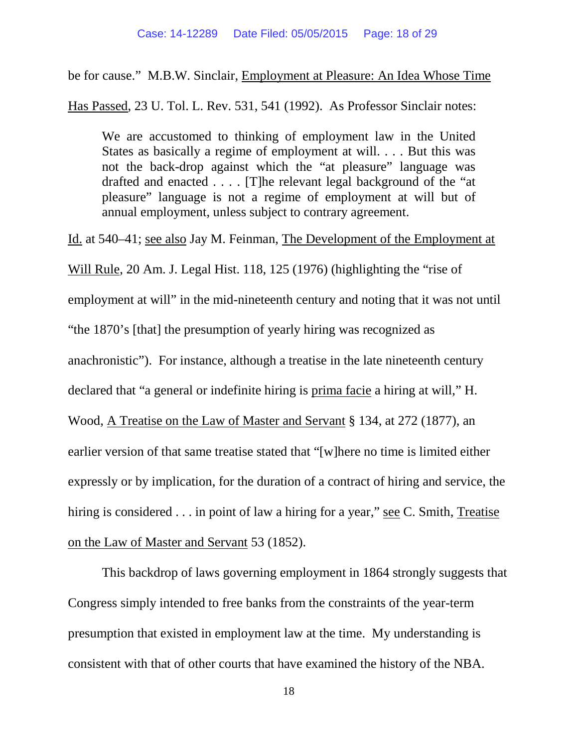be for cause." M.B.W. Sinclair, Employment at Pleasure: An Idea Whose Time

Has Passed, 23 U. Tol. L. Rev. 531, 541 (1992). As Professor Sinclair notes:

We are accustomed to thinking of employment law in the United States as basically a regime of employment at will. . . . But this was not the back-drop against which the "at pleasure" language was drafted and enacted . . . . [T]he relevant legal background of the "at pleasure" language is not a regime of employment at will but of annual employment, unless subject to contrary agreement.

Id. at 540–41; see also Jay M. Feinman, The Development of the Employment at Will Rule, 20 Am. J. Legal Hist. 118, 125 (1976) (highlighting the "rise of employment at will" in the mid-nineteenth century and noting that it was not until "the 1870's [that] the presumption of yearly hiring was recognized as anachronistic"). For instance, although a treatise in the late nineteenth century declared that "a general or indefinite hiring is prima facie a hiring at will," H. Wood, A Treatise on the Law of Master and Servant § 134, at 272 (1877), an earlier version of that same treatise stated that "[w]here no time is limited either expressly or by implication, for the duration of a contract of hiring and service, the hiring is considered . . . in point of law a hiring for a year," see C. Smith, Treatise on the Law of Master and Servant 53 (1852).

This backdrop of laws governing employment in 1864 strongly suggests that Congress simply intended to free banks from the constraints of the year-term presumption that existed in employment law at the time. My understanding is consistent with that of other courts that have examined the history of the NBA.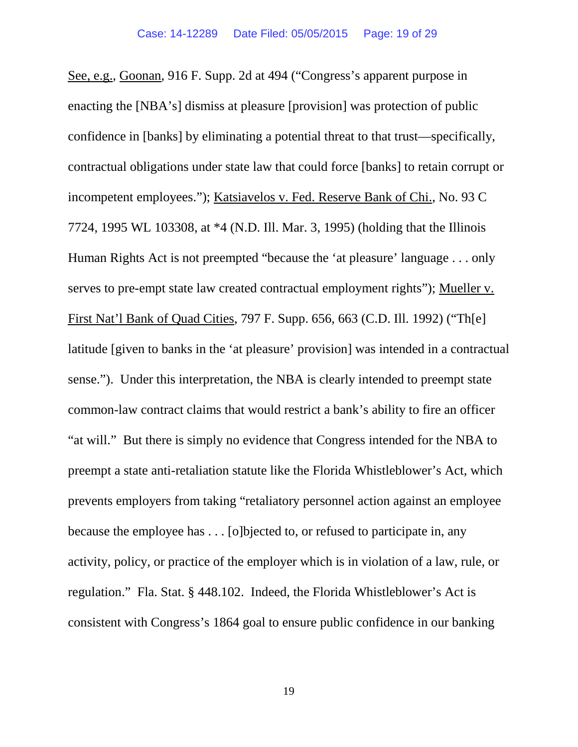See, e.g., Goonan, 916 F. Supp. 2d at 494 ("Congress's apparent purpose in enacting the [NBA's] dismiss at pleasure [provision] was protection of public confidence in [banks] by eliminating a potential threat to that trust—specifically, contractual obligations under state law that could force [banks] to retain corrupt or incompetent employees."); Katsiavelos v. Fed. Reserve Bank of Chi., No. 93 C 7724, 1995 WL 103308, at \*4 (N.D. Ill. Mar. 3, 1995) (holding that the Illinois Human Rights Act is not preempted "because the 'at pleasure' language . . . only serves to pre-empt state law created contractual employment rights"); Mueller v. First Nat'l Bank of Quad Cities, 797 F. Supp. 656, 663 (C.D. Ill. 1992) ("Th[e] latitude [given to banks in the 'at pleasure' provision] was intended in a contractual sense."). Under this interpretation, the NBA is clearly intended to preempt state common-law contract claims that would restrict a bank's ability to fire an officer "at will." But there is simply no evidence that Congress intended for the NBA to preempt a state anti-retaliation statute like the Florida Whistleblower's Act, which prevents employers from taking "retaliatory personnel action against an employee because the employee has . . . [o]bjected to, or refused to participate in, any activity, policy, or practice of the employer which is in violation of a law, rule, or regulation." Fla. Stat. § 448.102. Indeed, the Florida Whistleblower's Act is consistent with Congress's 1864 goal to ensure public confidence in our banking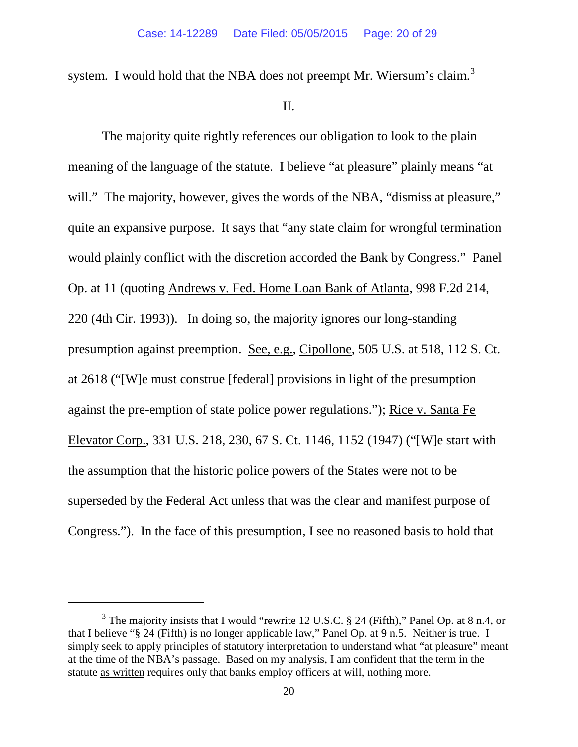system. I would hold that the NBA does not preempt Mr. Wiersum's claim.<sup>[3](#page-19-0)</sup>

### II.

The majority quite rightly references our obligation to look to the plain meaning of the language of the statute. I believe "at pleasure" plainly means "at will." The majority, however, gives the words of the NBA, "dismiss at pleasure," quite an expansive purpose. It says that "any state claim for wrongful termination would plainly conflict with the discretion accorded the Bank by Congress." Panel Op. at 11 (quoting Andrews v. Fed. Home Loan Bank of Atlanta, 998 F.2d 214, 220 (4th Cir. 1993)). In doing so, the majority ignores our long-standing presumption against preemption. See, e.g., Cipollone, 505 U.S. at 518, 112 S. Ct. at 2618 ("[W]e must construe [federal] provisions in light of the presumption against the pre-emption of state police power regulations."); Rice v. Santa Fe Elevator Corp., 331 U.S. 218, 230, 67 S. Ct. 1146, 1152 (1947) ("[W]e start with the assumption that the historic police powers of the States were not to be superseded by the Federal Act unless that was the clear and manifest purpose of Congress."). In the face of this presumption, I see no reasoned basis to hold that

<span id="page-19-0"></span> $3$  The majority insists that I would "rewrite 12 U.S.C. § 24 (Fifth)," Panel Op. at 8 n.4, or that I believe "§ 24 (Fifth) is no longer applicable law," Panel Op. at 9 n.5. Neither is true. I simply seek to apply principles of statutory interpretation to understand what "at pleasure" meant at the time of the NBA's passage. Based on my analysis, I am confident that the term in the statute as written requires only that banks employ officers at will, nothing more.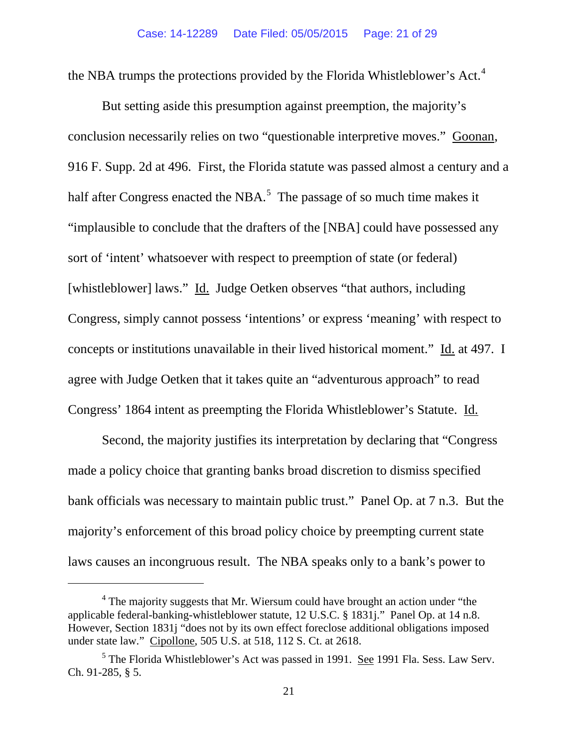the NBA trumps the protections provided by the Florida Whistleblower's Act.<sup>[4](#page-20-0)</sup>

But setting aside this presumption against preemption, the majority's conclusion necessarily relies on two "questionable interpretive moves." Goonan, 916 F. Supp. 2d at 496. First, the Florida statute was passed almost a century and a half after Congress enacted the NBA.<sup>[5](#page-20-1)</sup> The passage of so much time makes it "implausible to conclude that the drafters of the [NBA] could have possessed any sort of 'intent' whatsoever with respect to preemption of state (or federal) [whistleblower] laws." Id. Judge Oetken observes "that authors, including Congress, simply cannot possess 'intentions' or express 'meaning' with respect to concepts or institutions unavailable in their lived historical moment." Id. at 497. I agree with Judge Oetken that it takes quite an "adventurous approach" to read Congress' 1864 intent as preempting the Florida Whistleblower's Statute. Id.

Second, the majority justifies its interpretation by declaring that "Congress made a policy choice that granting banks broad discretion to dismiss specified bank officials was necessary to maintain public trust." Panel Op. at 7 n.3. But the majority's enforcement of this broad policy choice by preempting current state laws causes an incongruous result. The NBA speaks only to a bank's power to

<span id="page-20-0"></span> $4$  The majority suggests that Mr. Wiersum could have brought an action under "the applicable federal-banking-whistleblower statute, 12 U.S.C. § 1831j." Panel Op. at 14 n.8. However, Section 1831j "does not by its own effect foreclose additional obligations imposed under state law." Cipollone, 505 U.S. at 518, 112 S. Ct. at 2618.

<span id="page-20-1"></span> $<sup>5</sup>$  The Florida Whistleblower's Act was passed in 1991. See 1991 Fla. Sess. Law Serv.</sup> Ch. 91-285, § 5.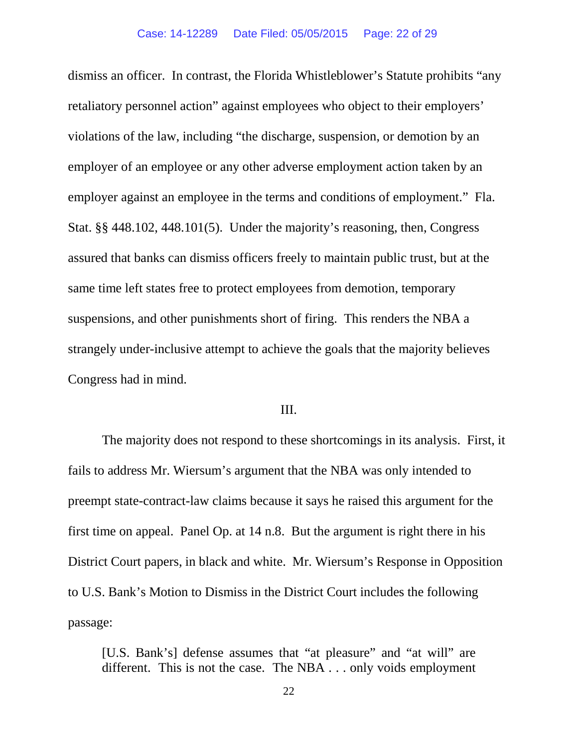dismiss an officer. In contrast, the Florida Whistleblower's Statute prohibits "any retaliatory personnel action" against employees who object to their employers' violations of the law, including "the discharge, suspension, or demotion by an employer of an employee or any other adverse employment action taken by an employer against an employee in the terms and conditions of employment." Fla. Stat. §§ 448.102, 448.101(5). Under the majority's reasoning, then, Congress assured that banks can dismiss officers freely to maintain public trust, but at the same time left states free to protect employees from demotion, temporary suspensions, and other punishments short of firing. This renders the NBA a strangely under-inclusive attempt to achieve the goals that the majority believes Congress had in mind.

### III.

The majority does not respond to these shortcomings in its analysis. First, it fails to address Mr. Wiersum's argument that the NBA was only intended to preempt state-contract-law claims because it says he raised this argument for the first time on appeal. Panel Op. at 14 n.8. But the argument is right there in his District Court papers, in black and white. Mr. Wiersum's Response in Opposition to U.S. Bank's Motion to Dismiss in the District Court includes the following passage:

[U.S. Bank's] defense assumes that "at pleasure" and "at will" are different. This is not the case. The NBA . . . only voids employment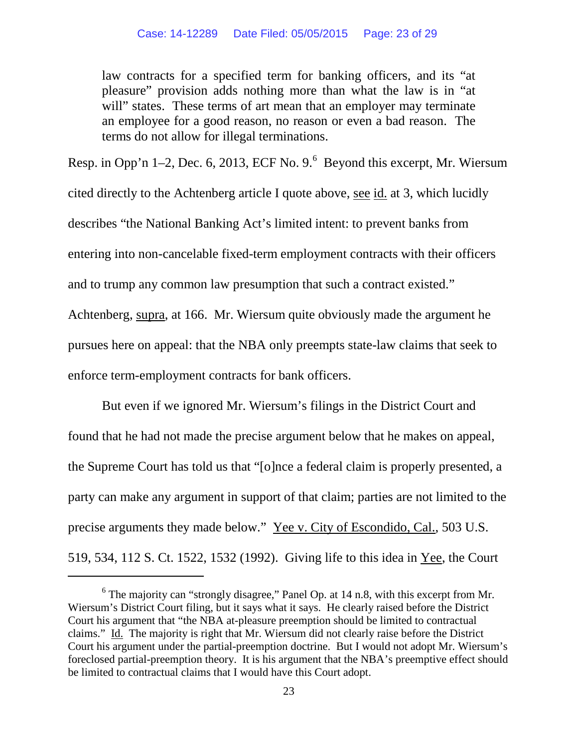law contracts for a specified term for banking officers, and its "at pleasure" provision adds nothing more than what the law is in "at will" states. These terms of art mean that an employer may terminate an employee for a good reason, no reason or even a bad reason. The terms do not allow for illegal terminations.

Resp. in Opp'n 1–2, Dec. [6](#page-22-0), 2013, ECF No.  $9.^6$  Beyond this excerpt, Mr. Wiersum cited directly to the Achtenberg article I quote above, see id. at 3, which lucidly describes "the National Banking Act's limited intent: to prevent banks from entering into non-cancelable fixed-term employment contracts with their officers and to trump any common law presumption that such a contract existed." Achtenberg, supra, at 166. Mr. Wiersum quite obviously made the argument he pursues here on appeal: that the NBA only preempts state-law claims that seek to enforce term-employment contracts for bank officers.

But even if we ignored Mr. Wiersum's filings in the District Court and found that he had not made the precise argument below that he makes on appeal, the Supreme Court has told us that "[o]nce a federal claim is properly presented, a party can make any argument in support of that claim; parties are not limited to the precise arguments they made below." Yee v. City of Escondido, Cal., 503 U.S. 519, 534, 112 S. Ct. 1522, 1532 (1992). Giving life to this idea in Yee, the Court

<span id="page-22-0"></span> $6$  The majority can "strongly disagree," Panel Op. at 14 n.8, with this excerpt from Mr. Wiersum's District Court filing, but it says what it says. He clearly raised before the District Court his argument that "the NBA at-pleasure preemption should be limited to contractual claims." Id. The majority is right that Mr. Wiersum did not clearly raise before the District Court his argument under the partial-preemption doctrine. But I would not adopt Mr. Wiersum's foreclosed partial-preemption theory. It is his argument that the NBA's preemptive effect should be limited to contractual claims that I would have this Court adopt.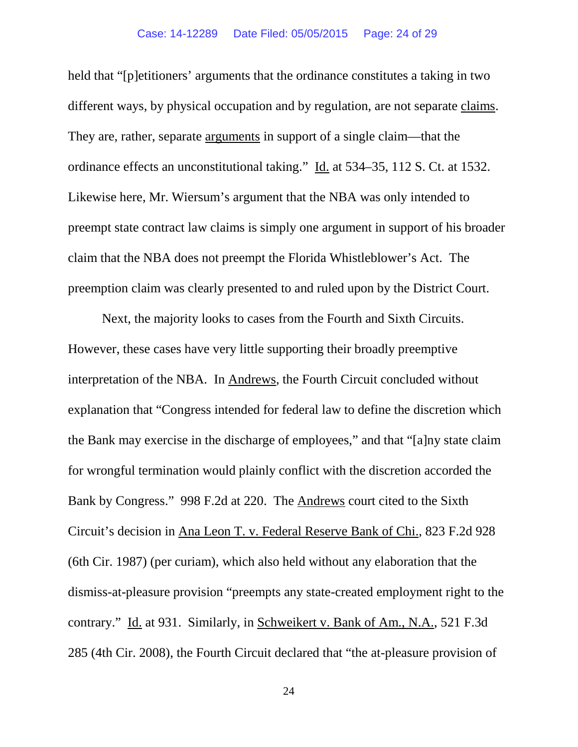held that "[p]etitioners' arguments that the ordinance constitutes a taking in two different ways, by physical occupation and by regulation, are not separate claims. They are, rather, separate arguments in support of a single claim—that the ordinance effects an unconstitutional taking." Id. at 534–35, 112 S. Ct. at 1532. Likewise here, Mr. Wiersum's argument that the NBA was only intended to preempt state contract law claims is simply one argument in support of his broader claim that the NBA does not preempt the Florida Whistleblower's Act. The preemption claim was clearly presented to and ruled upon by the District Court.

Next, the majority looks to cases from the Fourth and Sixth Circuits. However, these cases have very little supporting their broadly preemptive interpretation of the NBA. In Andrews, the Fourth Circuit concluded without explanation that "Congress intended for federal law to define the discretion which the Bank may exercise in the discharge of employees," and that "[a]ny state claim for wrongful termination would plainly conflict with the discretion accorded the Bank by Congress." 998 F.2d at 220. The Andrews court cited to the Sixth Circuit's decision in Ana Leon T. v. Federal Reserve Bank of Chi., 823 F.2d 928 (6th Cir. 1987) (per curiam), which also held without any elaboration that the dismiss-at-pleasure provision "preempts any state-created employment right to the contrary." Id. at 931. Similarly, in Schweikert v. Bank of Am., N.A., 521 F.3d 285 (4th Cir. 2008), the Fourth Circuit declared that "the at-pleasure provision of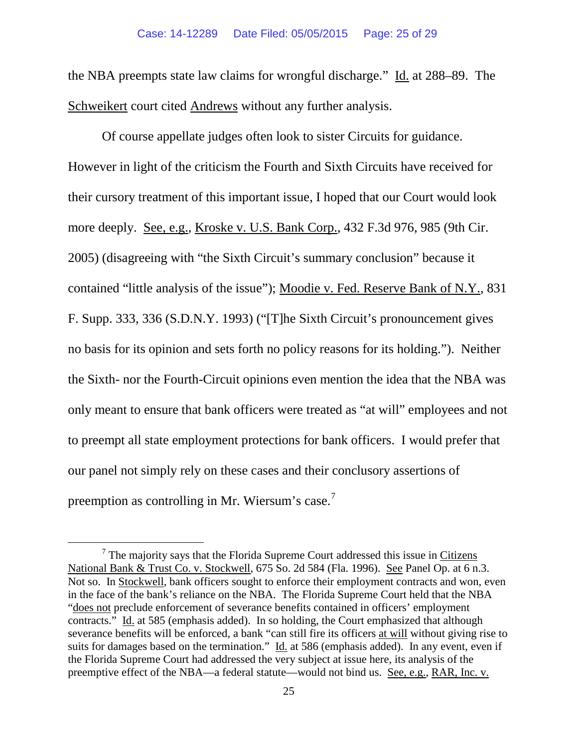the NBA preempts state law claims for wrongful discharge." Id. at 288–89. The Schweikert court cited Andrews without any further analysis.

Of course appellate judges often look to sister Circuits for guidance. However in light of the criticism the Fourth and Sixth Circuits have received for their cursory treatment of this important issue, I hoped that our Court would look more deeply. See, e.g., Kroske v. U.S. Bank Corp., 432 F.3d 976, 985 (9th Cir. 2005) (disagreeing with "the Sixth Circuit's summary conclusion" because it contained "little analysis of the issue"); Moodie v. Fed. Reserve Bank of N.Y., 831 F. Supp. 333, 336 (S.D.N.Y. 1993) ("[T]he Sixth Circuit's pronouncement gives no basis for its opinion and sets forth no policy reasons for its holding."). Neither the Sixth- nor the Fourth-Circuit opinions even mention the idea that the NBA was only meant to ensure that bank officers were treated as "at will" employees and not to preempt all state employment protections for bank officers. I would prefer that our panel not simply rely on these cases and their conclusory assertions of preemption as controlling in Mr. Wiersum's case.[7](#page-24-0)

<span id="page-24-0"></span> $<sup>7</sup>$  The majority says that the Florida Supreme Court addressed this issue in Citizens</sup> National Bank & Trust Co. v. Stockwell, 675 So. 2d 584 (Fla. 1996). See Panel Op. at 6 n.3. Not so. In Stockwell, bank officers sought to enforce their employment contracts and won, even in the face of the bank's reliance on the NBA. The Florida Supreme Court held that the NBA "does not preclude enforcement of severance benefits contained in officers' employment contracts." Id. at 585 (emphasis added). In so holding, the Court emphasized that although severance benefits will be enforced, a bank "can still fire its officers at will without giving rise to suits for damages based on the termination." Id. at 586 (emphasis added). In any event, even if the Florida Supreme Court had addressed the very subject at issue here, its analysis of the preemptive effect of the NBA—a federal statute—would not bind us. See, e.g., RAR, Inc. v.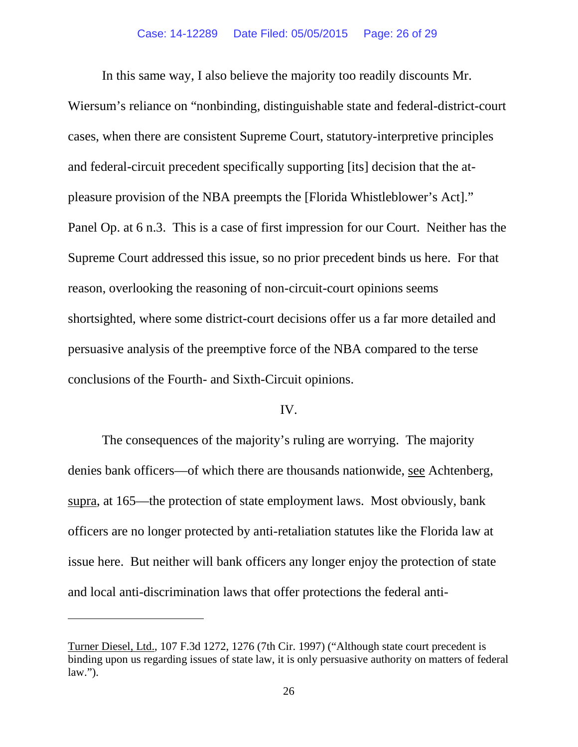In this same way, I also believe the majority too readily discounts Mr.

Wiersum's reliance on "nonbinding, distinguishable state and federal-district-court cases, when there are consistent Supreme Court, statutory-interpretive principles and federal-circuit precedent specifically supporting [its] decision that the atpleasure provision of the NBA preempts the [Florida Whistleblower's Act]." Panel Op. at 6 n.3. This is a case of first impression for our Court. Neither has the Supreme Court addressed this issue, so no prior precedent binds us here. For that reason, overlooking the reasoning of non-circuit-court opinions seems shortsighted, where some district-court decisions offer us a far more detailed and persuasive analysis of the preemptive force of the NBA compared to the terse conclusions of the Fourth- and Sixth-Circuit opinions.

### IV.

The consequences of the majority's ruling are worrying. The majority denies bank officers—of which there are thousands nationwide, see Achtenberg, supra, at 165—the protection of state employment laws. Most obviously, bank officers are no longer protected by anti-retaliation statutes like the Florida law at issue here. But neither will bank officers any longer enjoy the protection of state and local anti-discrimination laws that offer protections the federal anti-

Turner Diesel, Ltd., 107 F.3d 1272, 1276 (7th Cir. 1997) ("Although state court precedent is binding upon us regarding issues of state law, it is only persuasive authority on matters of federal law.").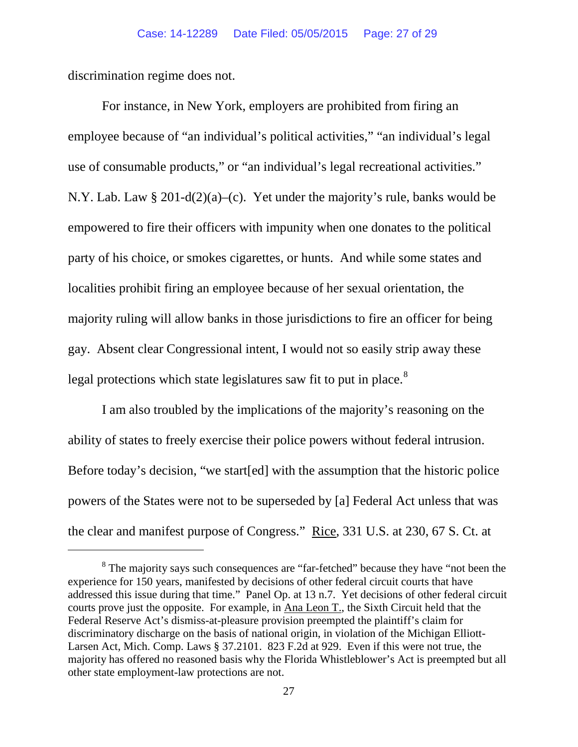discrimination regime does not.

 $\overline{a}$ 

For instance, in New York, employers are prohibited from firing an employee because of "an individual's political activities," "an individual's legal use of consumable products," or "an individual's legal recreational activities." N.Y. Lab. Law § 201-d(2)(a)–(c). Yet under the majority's rule, banks would be empowered to fire their officers with impunity when one donates to the political party of his choice, or smokes cigarettes, or hunts. And while some states and localities prohibit firing an employee because of her sexual orientation, the majority ruling will allow banks in those jurisdictions to fire an officer for being gay. Absent clear Congressional intent, I would not so easily strip away these legal protections which state legislatures saw fit to put in place.<sup>[8](#page-26-0)</sup>

I am also troubled by the implications of the majority's reasoning on the ability of states to freely exercise their police powers without federal intrusion. Before today's decision, "we start[ed] with the assumption that the historic police powers of the States were not to be superseded by [a] Federal Act unless that was the clear and manifest purpose of Congress." Rice, 331 U.S. at 230, 67 S. Ct. at

<span id="page-26-0"></span><sup>&</sup>lt;sup>8</sup> The majority says such consequences are "far-fetched" because they have "not been the experience for 150 years, manifested by decisions of other federal circuit courts that have addressed this issue during that time." Panel Op. at 13 n.7. Yet decisions of other federal circuit courts prove just the opposite. For example, in Ana Leon T., the Sixth Circuit held that the Federal Reserve Act's dismiss-at-pleasure provision preempted the plaintiff's claim for discriminatory discharge on the basis of national origin, in violation of the Michigan Elliott-Larsen Act, Mich. Comp. Laws § 37.2101. 823 F.2d at 929. Even if this were not true, the majority has offered no reasoned basis why the Florida Whistleblower's Act is preempted but all other state employment-law protections are not.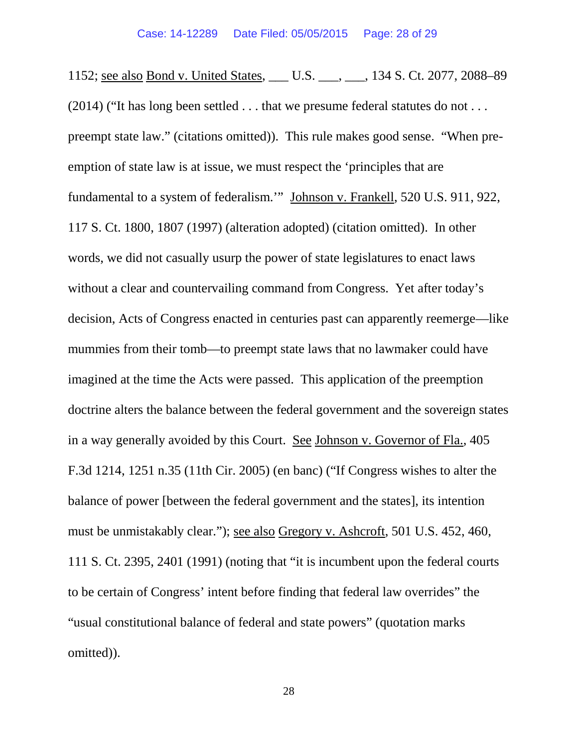1152; see also Bond v. United States, \_\_\_ U.S. \_\_\_, \_\_\_, 134 S. Ct. 2077, 2088–89 (2014) ("It has long been settled . . . that we presume federal statutes do not . . . preempt state law." (citations omitted)). This rule makes good sense. "When preemption of state law is at issue, we must respect the 'principles that are fundamental to a system of federalism.'" Johnson v. Frankell, 520 U.S. 911, 922, 117 S. Ct. 1800, 1807 (1997) (alteration adopted) (citation omitted). In other words, we did not casually usurp the power of state legislatures to enact laws without a clear and countervailing command from Congress. Yet after today's decision, Acts of Congress enacted in centuries past can apparently reemerge—like mummies from their tomb—to preempt state laws that no lawmaker could have imagined at the time the Acts were passed. This application of the preemption doctrine alters the balance between the federal government and the sovereign states in a way generally avoided by this Court. See Johnson v. Governor of Fla., 405 F.3d 1214, 1251 n.35 (11th Cir. 2005) (en banc) ("If Congress wishes to alter the balance of power [between the federal government and the states], its intention must be unmistakably clear."); see also Gregory v. Ashcroft, 501 U.S. 452, 460, 111 S. Ct. 2395, 2401 (1991) (noting that "it is incumbent upon the federal courts to be certain of Congress' intent before finding that federal law overrides" the "usual constitutional balance of federal and state powers" (quotation marks omitted)).